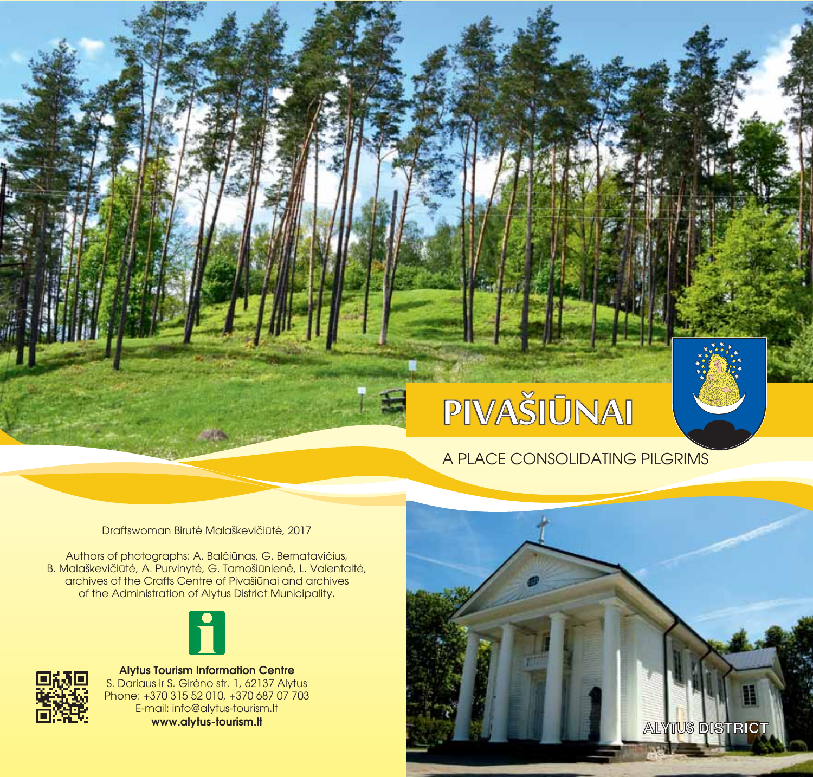# **PIVAŠIŪNAI**

## A PLACE CONSOLIDATING PILGRIMS

Draftswoman Birutė Malaškevičiūtė, 2017

Authors of photographs: A. Balčiūnas, G. Bernatavičius, B. Malaškevičiūtė, A. Purvinytė, G. Tamošiūnienė, L. Valentaitė, archives of the Crafts Centre of Pivašiūnai and archives of the Administration of Alytus District Municipality.





S. Dariaus ir S. Girėno str. 1, 62137 Alytus Phone: +370 315 52 010, +370 687 07 703 E-mail: info@alytus-tourism.lt **Alytus Tourism Information Centre**

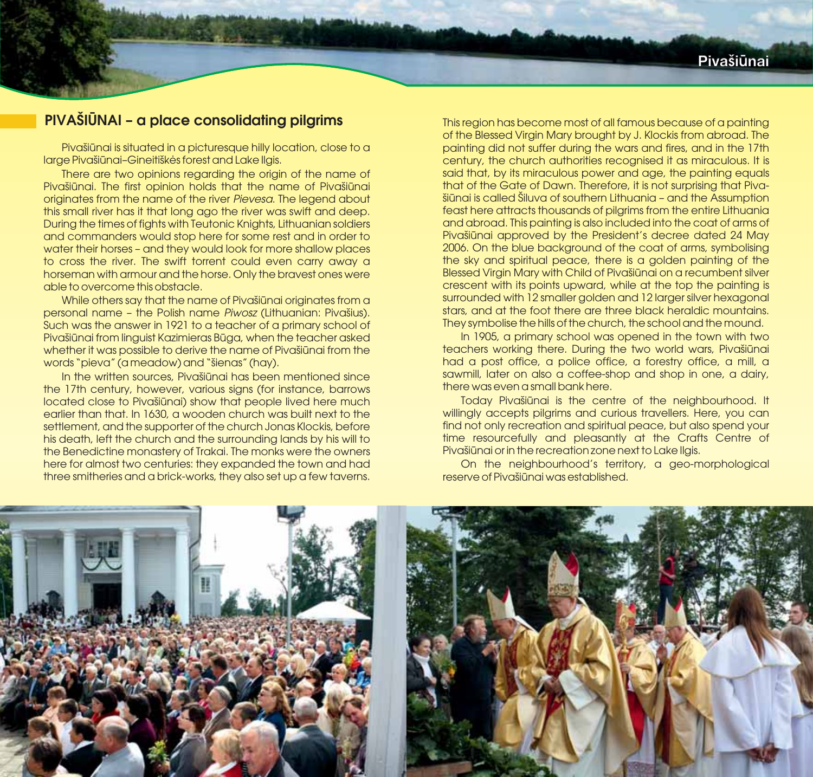## **PIVAŠIŪNAI – a place consolidating pilgrims**

Pivašiūnai is situated in a picturesque hilly location, close to a large Pivašiūnai–Gineitiškės forest and Lake Ilgis.

There are two opinions regarding the origin of the name of Pivašiūnai. The first opinion holds that the name of Pivašiūnai originates from the name of the river Pievesa. The legend about this small river has it that long ago the river was swift and deep. During the times of fights with Teutonic Knights, Lithuanian soldiers and commanders would stop here for some rest and in order to water their horses – and they would look for more shallow places to cross the river. The swift torrent could even carry away a horseman with armour and the horse. Only the bravest ones were able to overcome this obstacle.

While others say that the name of Pivašiūnai originates from a personal name - the Polish name Piwosz (Lithuanian: Pivašius). Such was the answer in 1921 to a teacher of a primary school of Pivašiūnai from linguist Kazimieras Būga, when the teacher asked whether it was possible to derive the name of Pivašiūnai from the words "pieva" (a meadow) and "šienas" (hay).

In the written sources, Pivašiūnai has been mentioned since the 17th century, however, various signs (for instance, barrows located close to Pivašiūnai) show that people lived here much earlier than that. In 1630, a wooden church was built next to the settlement, and the supporter of the church Jonas Klockis, before his death, left the church and the surrounding lands by his will to the Benedictine monastery of Trakai. The monks were the owners here for almost two centuries: they expanded the town and had three smitheries and a brick-works, they also set up a few taverns. This region has become most of all famous because of a painting of the Blessed Virgin Mary brought by J. Klockis from abroad. The painting did not suffer during the wars and fires, and in the 17th century, the church authorities recognised it as miraculous. It is said that, by its miraculous power and age, the painting equals that of the Gate of Dawn. Therefore, it is not surprising that Pivašiūnai is called Šiluva of southern Lithuania – and the Assumption feast here attracts thousands of pilgrims from the entire Lithuania and abroad. This painting is also included into the coat of arms of Pivašiūnai approved by the President's decree dated 24 May 2006. On the blue background of the coat of arms, symbolising the sky and spiritual peace, there is a golden painting of the Blessed Virgin Mary with Child of Pivašiūnai on a recumbent silver crescent with its points upward, while at the top the painting is surrounded with 12 smaller golden and 12 larger silver hexagonal stars, and at the foot there are three black heraldic mountains. They symbolise the hills of the church, the school and the mound.

In 1905, a primary school was opened in the town with two teachers working there. During the two world wars, Pivašiūnai had a post office, a police office, a forestry office, a mill, a sawmill, later on also a coffee-shop and shop in one, a dairy, there was even a small bank here.

Today Pivašiūnai is the centre of the neighbourhood. It willingly accepts pilgrims and curious travellers. Here, you can find not only recreation and spiritual peace, but also spend your time resourcefully and pleasantly at the Crafts Centre of Pivašiūnai or in the recreation zone next to Lake Ilgis.

On the neighbourhood's territory, a geo-morphological reserve of Pivašiūnai was established.

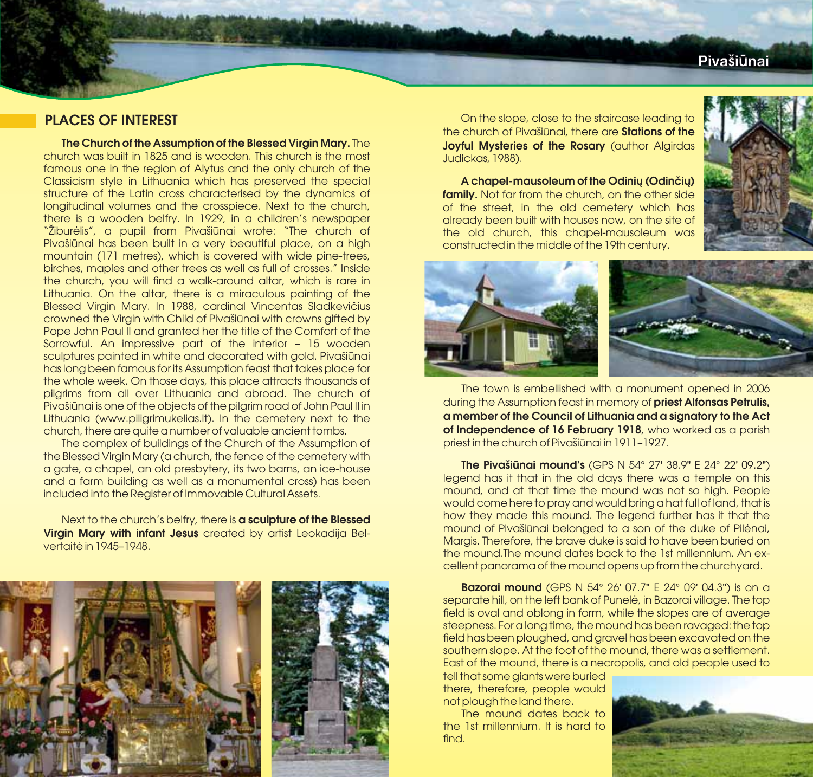## **Piva i nai ð û**

## **PLACES OF INTEREST**

**The Church of the Assumption of the Blessed Virgin Mary.** The church was built in 1825 and is wooden. This church is the most famous one in the region of Alytus and the only church of the Classicism style in Lithuania which has preserved the special structure of the Latin cross characterised by the dynamics of longitudinal volumes and the crosspiece. Next to the church, there is a wooden belfry. In 1929, in a children's newspaper "Žiburėlis", a pupil from Pivašiūnai wrote: "The church of Pivašiūnai has been built in a very beautiful place, on a high mountain (171 metres), which is covered with wide pine-trees, birches, maples and other trees as well as full of crosses." Inside the church, you will find a walk-around altar, which is rare in Lithuania. On the altar, there is a miraculous painting of the Blessed Virgin Mary. In 1988, cardinal Vincentas Sladkevičius crowned the Virgin with Child of Pivašiūnai with crowns gifted by Pope John Paul II and granted her the title of the Comfort of the Sorrowful. An impressive part of the interior – 15 wooden sculptures painted in white and decorated with gold. Pivašiūnai has long been famous for its Assumption feast that takes place for the whole week. On those days, this place attracts thousands of pilgrims from all over Lithuania and abroad. The church of Pivašiūnai is one of the objects of the pilgrim road of John Paul II in Lithuania (www.piligrimukelias.lt). In the cemetery next to the church, there are quite a number of valuable ancient tombs.

The complex of buildings of the Church of the Assumption of the Blessed Virgin Mary (a church, the fence of the cemetery with a gate, a chapel, an old presbytery, its two barns, an ice-house and a farm building as well as a monumental cross) has been included into the Register of Immovable Cultural Assets.

Next to the church's belfry, there is **a sculpture of the Blessed Virgin Mary with infant Jesus** created by artist Leokadija Belvertaitė in 1945–1948.



On the slope, close to the staircase leading to the church of Pivašiūnai, there are **Stations of the Joyful Mysteries of the Rosary** (author Algirdas Judickas, 1988).

**family.** Not far from the church, on the other side of the street, in the old cemetery which has already been built with houses now, on the site of the old church, this chapel-mausoleum was constructed in the middle of the 19th century. **A chapel-mausoleum of the Odinių (Odinčių)**





The town is embellished with a monument opened in 2006 during the Assumption feast in memory of **priest Alfonsas Petrulis,** of Independence of 16 February 1918, who worked as a parish priest in the church of Pivašiūnai in 1911–1927. **a member of the Council of Lithuania and a signatory to the Act**

st in the church of Pivašiūnai in 1911-1927.<br>**The Pivašiūnai mound's** (GPS N 54° 27' 38.9" E 24° 22' 09.2") legend has it that in the old days there was a temple on this mound, and at that time the mound was not so high. People would come here to pray and would bring a hat full of land, that is how they made this mound. The legend further has it that the mound of Pivašiūnai belonged to a son of the duke of Pilėnai, Margis. Therefore, the brave duke is said to have been buried on the mound.The mound dates back to the 1st millennium. An excellent panorama of the mound opens up from the churchyard.<br>**• Razorai mound** (GPS N-54°-26' 07.7" E-24°-09' 04.3") is on

**Bazorai mound** (GPS N 54° 26' 07.7" E 24° 09' 04.3") is on a separate hill, on the left bank of Punelė, in Bazorai village. The top field is oval and oblong in form, while the slopes are of average steepness. For a long time, the mound has been ravaged: the top field has been ploughed, and gravel has been excavated on the southern slope. At the foot of the mound, there was a settlement. East of the mound, there is a necropolis, and old people used to

tell that some giants were buried there, therefore, people would not plough the land there.

The mound dates back to the 1st millennium. It is hard to find.

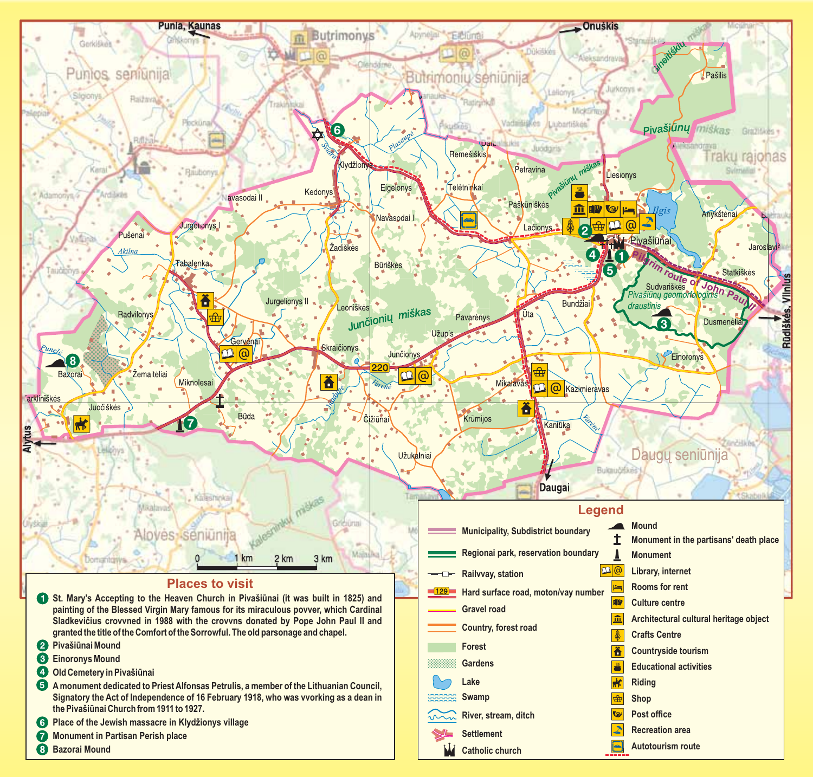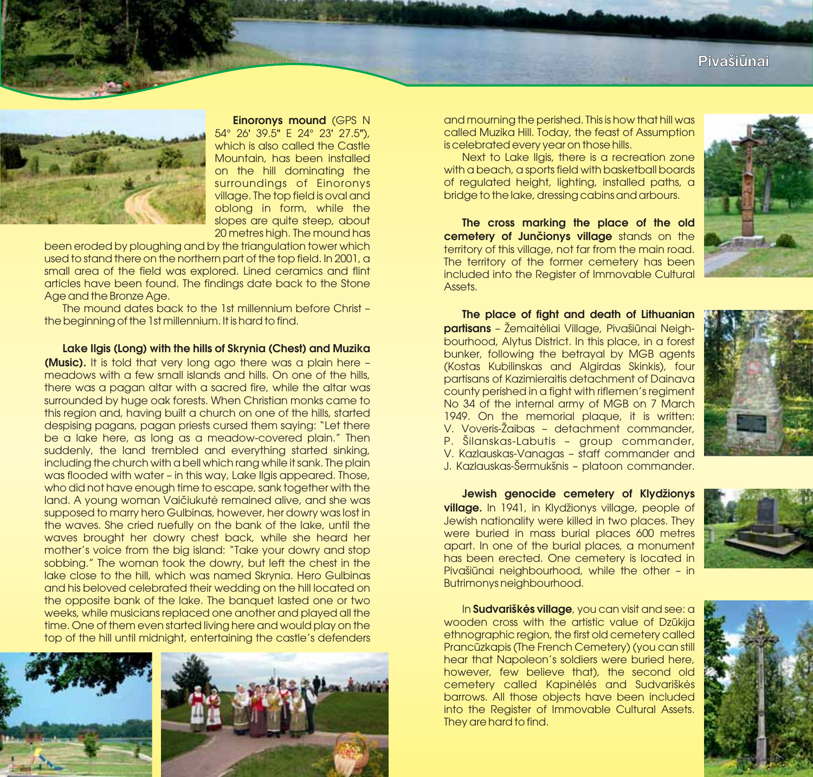

**Einoronys mound** (GPS N<br>26' 39.5" E 24° 23' 27.5") 54° 26' 39.5" E 24° 23' 27.5"), which is also called the Castle Mountain, has been installed on the hill dominating the surroundings of Einoronys village. The top field is oval and oblong in form, while the slopes are quite steep, about 20 metres high. The mound has

been eroded by ploughing and by the triangulation tower which used to stand there on the northern part of the top field. In 2001, a small area of the field was explored. Lined ceramics and flint articles have been found. The findings date back to the Stone Age and the Bronze Age.

The mound dates back to the 1st millennium before Christ – the beginning of the 1st millennium. It is hard to find.

**Lake Ilgis (Long) with the hills of Skrynia (Chest) and Muzika (Music).** It is told that very long ago there was a plain here – meadows with a few small islands and hills. On one of the hills, there was a pagan altar with a sacred fire, while the altar was surrounded by huge oak forests. When Christian monks came to this region and, having built a church on one of the hills, started despising pagans, pagan priests cursed them saying: "Let there be a lake here, as long as a meadow-covered plain." Then suddenly, the land trembled and everything started sinking, including the church with a bell which rang while it sank. The plain was flooded with water – in this way, Lake Ilais appeared. Those, who did not have enough time to escape, sank together with the land. A young woman Vaičiukutė remained alive, and she was supposed to marry hero Gulbinas, however, her dowry was lost in the waves. She cried ruefully on the bank of the lake, until the waves brought her dowry chest back, while she heard her mother's voice from the big island: "Take your dowry and stop sobbing." The woman took the dowry, but left the chest in the lake close to the hill, which was named Skrynia. Hero Gulbinas and his beloved celebrated their wedding on the hill located on the opposite bank of the lake. The banquet lasted one or two weeks, while musicians replaced one another and played all the time. One of them even started living here and would play on the top of the hill until midnight, entertaining the castle's defenders



and mourning the perished. This is how that hill was called Muzika Hill. Today, the feast of Assumption is celebrated every year on those hills.

Next to Lake Ilgis, there is a recreation zone with a beach, a sports field with basketball boards of regulated height, lighting, installed paths, a bridge to the lake, dressing cabins and arbours.

**cemetery of Junčionys village** stands on the territory of this village, not far from the main road. The territory of the former cemetery has been included into the Register of Immovable Cultural Assets. **The cross marking the place of the old**



**partisans** - Zemaitėliai Village, Pivašiūnai Neighbourhood, Alytus District. In this place, in a forest bunker, following the betrayal by MGB agents (Kostas Kubilinskas and Algirdas Skinkis), four partisans of Kazimieraitis detachment of Dainava county perished in a fight with riflemen's regiment No 34 of the internal army of MGB on 7 March 1949. On the memorial plaque, it is written: V. Voveris-Žaibas – detachment commander, P. Šilanskas-Labutis – group commander, V. Kazlauskas-Vanagas – staff commander and J. Kazlauskas-Šermukšnis – platoon commander. **The place of fight and death of Lithuanian**



**village.** In 1941, in Klydžionys village, people of Jewish nationality were killed in two places. They were buried in mass burial places 600 metres apart. In one of the burial places, a monument has been erected. One cemetery is located in Pivašiūnai neighbourhood, while the other – in Butrimonys neighbourhood. **Jewish genocide cemetery of Klydžionys**



In **Sudvariškės village**, you can visit and see: a wooden cross with the artistic value of Dzūkija ethnographic region, the first old cemetery called Prancūzkapis (The French Cemetery) (you can still hear that Napoleon's soldiers were buried here, however, few believe that), the second old cemetery called Kapinėlės and Sudvariškės barrows. All those objects have been included into the Register of Immovable Cultural Assets. They are hard to find.